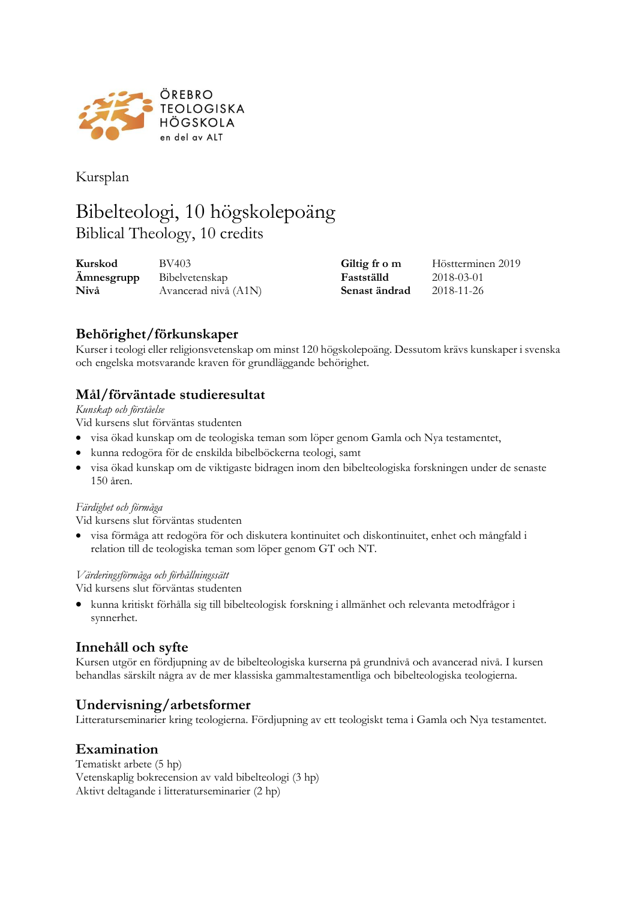

Kursplan

# Bibelteologi, 10 högskolepoäng Biblical Theology, 10 credits

| Kurskod    | BV403                | Giltig fr o m | Höstterminen 2019 |
|------------|----------------------|---------------|-------------------|
| Ämnesgrupp | Bibelvetenskap       | Fastställd    | 2018-03-01        |
| Nivå       | Avancerad nivå (A1N) | Senast ändrad | 2018-11-26        |

# **Behörighet/förkunskaper**

Kurser i teologi eller religionsvetenskap om minst 120 högskolepoäng. Dessutom krävs kunskaper i svenska och engelska motsvarande kraven för grundläggande behörighet.

### **Mål/förväntade studieresultat**

*Kunskap och förståelse*

Vid kursens slut förväntas studenten

- visa ökad kunskap om de teologiska teman som löper genom Gamla och Nya testamentet,
- kunna redogöra för de enskilda bibelböckerna teologi, samt
- visa ökad kunskap om de viktigaste bidragen inom den bibelteologiska forskningen under de senaste 150 åren.

#### *Färdighet och förmåga*

Vid kursens slut förväntas studenten

• visa förmåga att redogöra för och diskutera kontinuitet och diskontinuitet, enhet och mångfald i relation till de teologiska teman som löper genom GT och NT.

#### *Värderingsförmåga och förhållningssätt*

Vid kursens slut förväntas studenten

• kunna kritiskt förhålla sig till bibelteologisk forskning i allmänhet och relevanta metodfrågor i synnerhet.

### **Innehåll och syfte**

Kursen utgör en fördjupning av de bibelteologiska kurserna på grundnivå och avancerad nivå. I kursen behandlas särskilt några av de mer klassiska gammaltestamentliga och bibelteologiska teologierna.

### **Undervisning/arbetsformer**

Litteraturseminarier kring teologierna. Fördjupning av ett teologiskt tema i Gamla och Nya testamentet.

### **Examination**

Tematiskt arbete (5 hp) Vetenskaplig bokrecension av vald bibelteologi (3 hp) Aktivt deltagande i litteraturseminarier (2 hp)